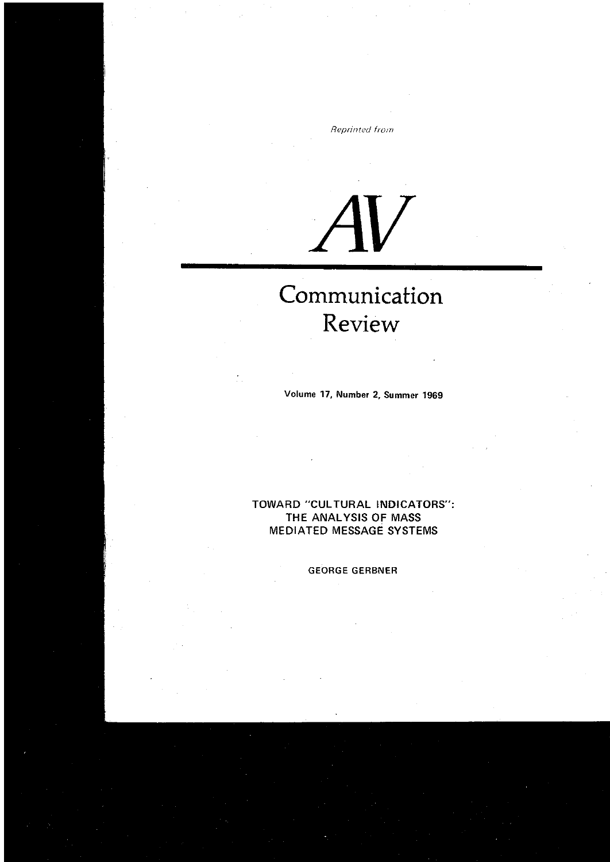Reprinted from

# Communication Review

Volume 17, Number 2, Summer 1969

TOWARD "CULTURAL INDICATORS": THE ANALYSIS OF MASS MEDIATED MESSAGE SYSTEMS

**GEORGE GERBNER**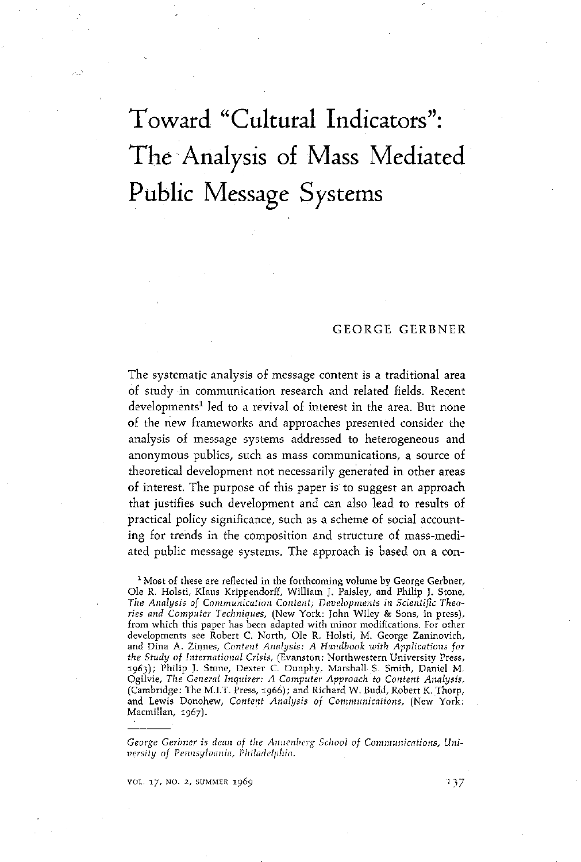## Toward "Cultural Indicators": The· Analysis of Mass Mediated Public Message Systems

### GEORGE GERBNER

The systematic analysis of message content is a traditional area of study in communication research and related fields. Recent developments<sup>1</sup> led to a revival of interest in the area. But none of the new frameworks and approaches presented consider the analysis of message systems addressed to heterogeneous and anonymous publics, such as mass communications, a source of theoretical development not necessarily generated in other areas of interest. The purpose of this paper is to suggest an approach that justifies such development and can also lead to results of practical policy significance, such as a scheme of social accounting for trends in the composition and structure of mass-mediated public message systems. The approach is based on a con-

<sup>1</sup> Most of these are reflected in the forthcoming volume by George Gerbner, Ole R. Holsti, Klaus Krippendorff, William J. Paisley, and Philip J. Stone, *The Analysis of Communication Content; Developments in Scientific Theories and Computer Techniques,* (New York: John Wiley & Sons, in press), from which this paper has been adapted with minor modifications. For other developments see Robert C. North, Ole R. Holsti, M. George Zaninovich, and Dina A. Zinnes, *Content Analysis: A Handbook with Applications for the Study of international* Crisis, (Evanston: Northwestern University Press, :(96)); Philip J. Stonc, Dexter C. Dunphy, Marshall S. Smith, Daniel M. Ogilvie, *The General Inquirer: A Computer Approach to Content Analysis,*  (Cambridge: Thc M.LT. Press, 1966); and Richard W. Budd, Robert K. Thorp, and Lewis Donohew, *Content Analysis of Communications,* (New York: Macmillan, 1967).

George Gerbner is dean of the Annenberg School of Communications, Uni $versity of Pennsylvania, Philadelphia.$ 

VOL. 17, NO. 2, SUMMER 1969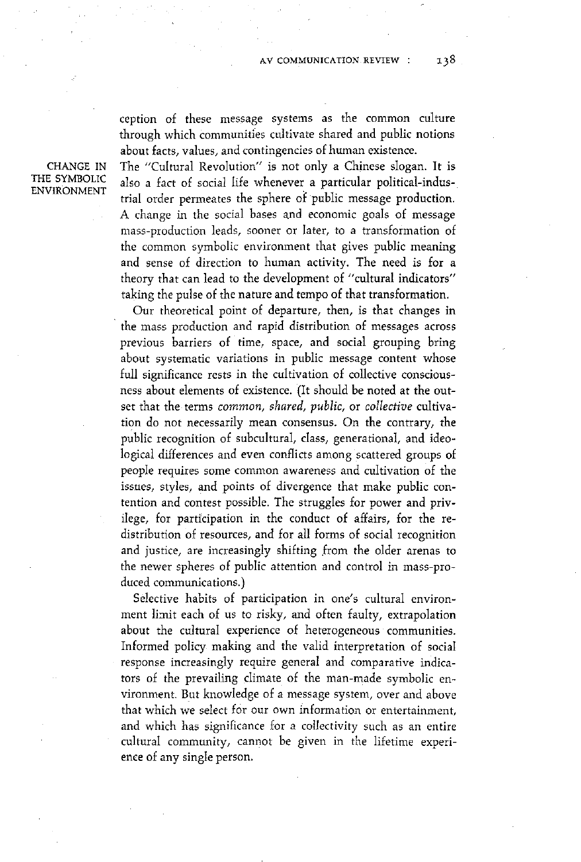**ceptian of these message systems as the common culture**  through which communities cultivate shared and public notions **about facts, values, and contingencies of human existence.** 

The "Cultural Revolution" is not only a Chinese slogan. It is also a fact of social life whenever a particular political-industrial order permeates the sphere at public message production. A change in the social bases and economic goals of message **mass-production leads, sooner or later, to a transformation of**  the common symbolic environment that gives public meaning and sense of direction to human activity. The need is for a theory that can lead to the development of "cultural indicators" taking the pulse of the nature and tempo of that transformation.

Our theoretical point of departure, then, is that changes in . **the mass production and rapid distribution of messages across previous barriers of time, space, and social grouping bring about systematic variations in public message content whose full significance rests in the cultivation of collective conscious**ness about elements of existence. (It should be noted at the out**set that the terms** *common, shared, public,* **or** *collective* **cultivation do not necessarily mean consensus. On the contrary, the**  public recognition of subcultural, class, generational, and ideological differences and even conflicts among scattered groups of **people requires some common awareness and cultivation of the**  issues, styles, and points of divergence that make public contention and contest possible. The struggles for power and privilege, for participation in the conduct of affairs, for the redistribution of resources, and for all forms of social recognition and justice, are increasingly shifting from the older arenas to the newer spheres of public attention and control in mass-pro**duced communications.)** 

**Selective habits of participation in one's cultural environ**ment limit each of us to risky, and often faulty, extrapolation **about the cultural experience of heterogeneous communities.**  Informed policy making and the valid interpretation of social **response increasingly require general and comparative indica**tors of the prevailing climate of the man-made symbolic environment. But knowledge of a message system, over and above **that which we select for our own information or entertainment, and which has significance for a collectivity such as an entire cultural community, cannot be given in the lifetime experi**ence of any single person.

CHANGE IN THE SYMBOLIC ENVIRONMENT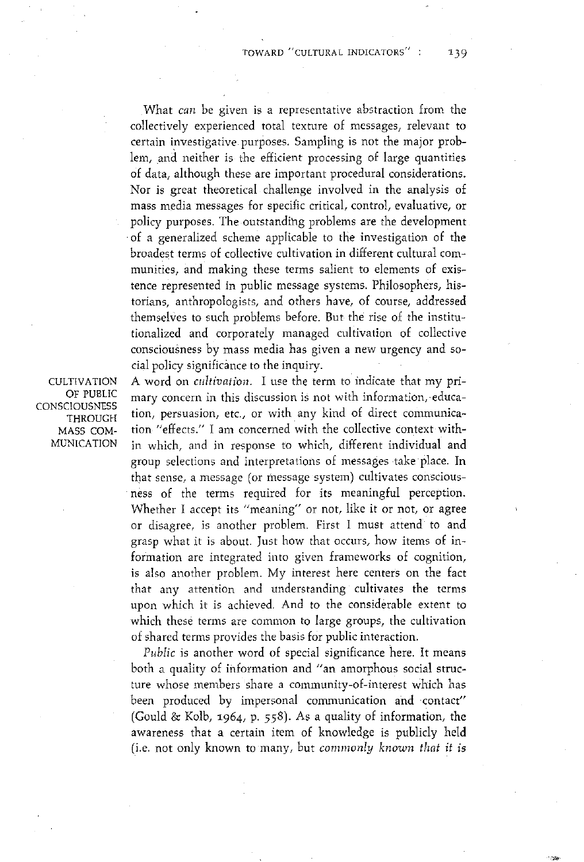What *can* be given is a representative abstraction from the collectively experienced total texture of messages, relevant to certain investigative purposes. Sampling is not the major problem, and neither is the efficient processing of large quantities of data, although these are important procedural considerations. Nor is great theoretical challenge involved in the analysis of mass media messages for specific critical, control, evaluative, or policy purposes. The outstandihg problems are the development of a generalized scheme applicable to the investigation of the broadest terms of collective cultivation in different cultural communities, and making these terms salient to elements of existence represented in public message systems. Philosophers, historians, anthropologists, and others have, of course, addressed themselves to such problems before. But the rise of the institutionalized and corporately managed cultivation of collective consciousness by mass media has given a new urgency and social policy significance to the inquiry.

CULTIVATION OF PUBLIC CONSCIOUSNESS THROUGH MASS COM-MUNICATION A word on *cultivation.* I use the term to indicate that my primary concern in this discussion is not with information,-education, persuasion, etc., or with any kind of direct communication "effects." I am concerned with the collective context within which, and in response to which, different individual and group selections and interpretations of messages take place. **In**  that sense, a message (or message system) cultivates consciousness of the terms required for its meaningful perception. Whether I accept its "meaning" or not, like it or not, or agree or disagree, is another problem. First I must attend to and grasp what it is about. Just how that occurs, how items of information are integrated into given frameworks of cognition, is also another problem. My interest here centers on the fact that any attention and understanding cultivates the terms upon which it is achieved. And to the considerable extent to which these terms are common to large groups, the cultivation of shared terms provides the basis for public interaction.

*Public* is another word of special significance here. It means both a quality of information and "an amorphous social structure whose members share a community-of-interest which has been produced by impersonal communication and contact" (Gould & Kolb,  $1964$ , p. 558). As a quality of information, the awareness that a certain item of knowledge is publicly held (i.e. not only known to many, but *c01111110nly known that* it is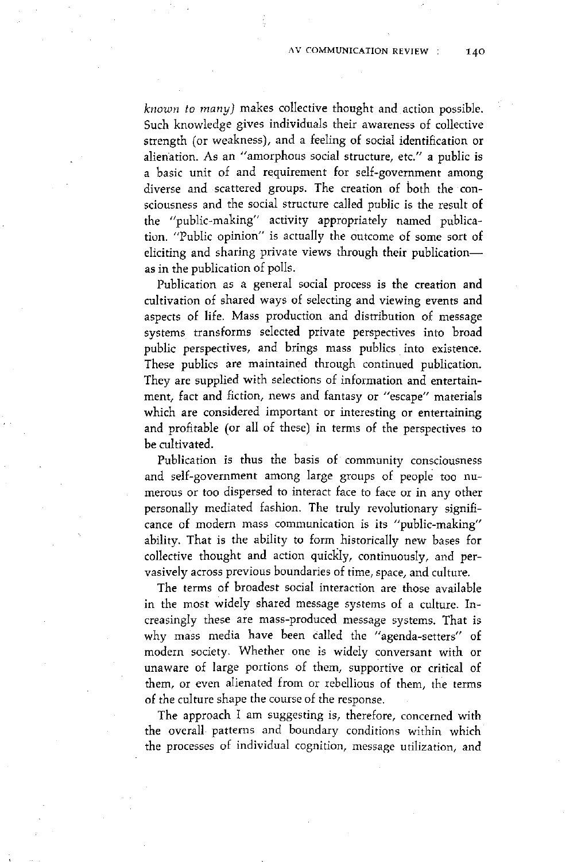*known to many)* makes collective thought and action possible. Such knowledge gives individuals their awareness of collective strength *(or* weakness), and a feeling of social identification or **alien-ation. As an "amorphous social structure, etc." a public is a basic unit of and requirement for self-government among**  diverse and scattered groups. The creation of both the consciousness and the social structure called public is the result of the "public-making" activity appropriately named publication. "Public opinion" is actually the outcome of some sort of eliciting and sharing private views through their publicationas in the publication of polls.

**Publication as a general social process is the creation and**  cultivation of shared ways of selecting and viewing events and aspects of life. Mass production and distribution of message **systems transforms selected private perspectives into broad**  public perspectives, and brings mass publics into existence. These publics are maintained through continued publication. They are supplied with selections of information and entertain**ment, fact and fiction, news and fantasy or "escape" materials which are considered important or interesting or entertaining**  and profitable (or all of these) in terms of the perspectives to be cultivated.

**Publication is thus the basis of community consciousness**  and self-government among large groups of people too nu**merous or too dispersed to interact face to face or in any other**  personally mediated fashion. The truly revolutionary signifi**cance of modern mass communication is its "public-making"**  ability. That is the ability to form historically new bases for collective thought and action quickly, continuously, and per**vasively across previous boundaries of time, space, and culture.** 

The terms of broadest social interaction are those available in the most widely shared message systems of a culture. In**creasingly these are mass-produced message systems. That is**  why mass media have been called the "agenda-setters" of **modern society. Whether one is widely conversant with or unaware of large portions of them, supportive or critical of them, or even alienated from or rebellious of them, the terms**  of the culture shape the course of the response.

**The approach I am suggesting is, therefore, concerned with**  the overall patterns and boundary conditions within which **the processes of individual cognition, message utilization, and**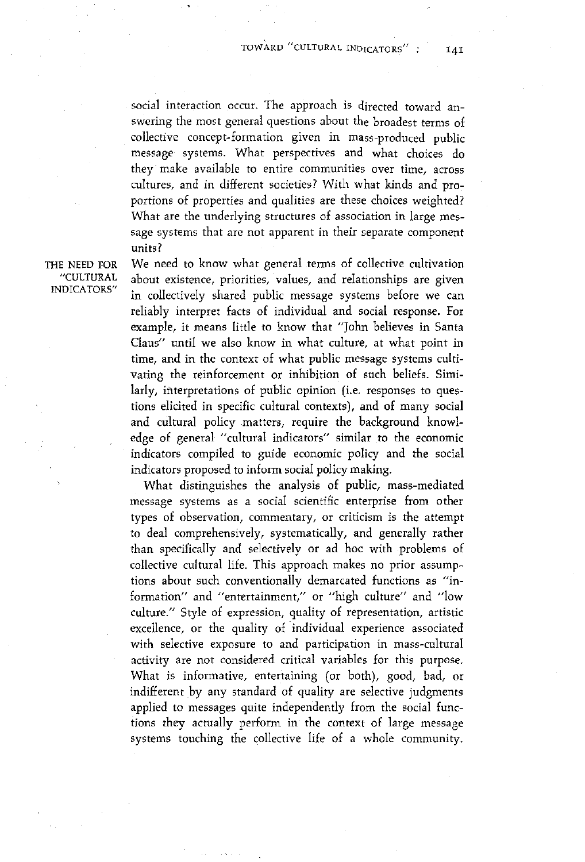**social interaction occur. The approach is directed toward answering the most general questions about the broadest terms of collective concept-formation given in mass-produced public**  message systems. What perspectives and what choices do **they· make available to entire communities over time, across**  cultures, and in different societies? With what kinds and proportions of properties and qualities are these choices weighted? **What are the underlying Structures of association in large message systems that are not apparent in their separate component units?** 

We need to know what general terms of collective cultivation **about existence, priorities, values, and relationships are given**  in collectively shared public message systems before we can reliably interpret facts of individual and social response. For example, it means little to know that "John believes in Santa Claus" until we also know in what culture, at what point in time, and in the context of what public message systems cultivating the reinforcement or inhibition of such beliefs. Similarly, interpretations of public opinion (i.e. responses to questions elicited in specific cultural contexts), and of many social and cultural policy matters, require the background knowledge of general "cultural indicators" similar to the economic indicators compiled to guide economic policy and the social indicators proposed to inform social policy making.

What distinguishes the analysis of public, mass-mediated **message systems as a social scientific enterprise from other types of observation, commentary, or criticism is the attempt**  to deal comprehensively, systematically, and generally rather than specifically and selectively or ad hoc with problems of collective cultural life. This approach makes no prior assumptions about such conventionally demarcated functions as "in**formation" and "entertainment," or "high culture" and "low culture." Style of expression, quality of representation, artistic excellence, or the quality of individual experience associated with selective exposure to and participation in mass-cultural activity are not considered critical variables for this purpose.**  What is informative, entertaining (or both), good, bad, or indifferent by any standard of quality are selective judgments applied to messages quite independently from the social functions they actually perform in the context of large message systems touching the collective life of a whole community.

THE NEED FOR "CULTURAL INDICATORS"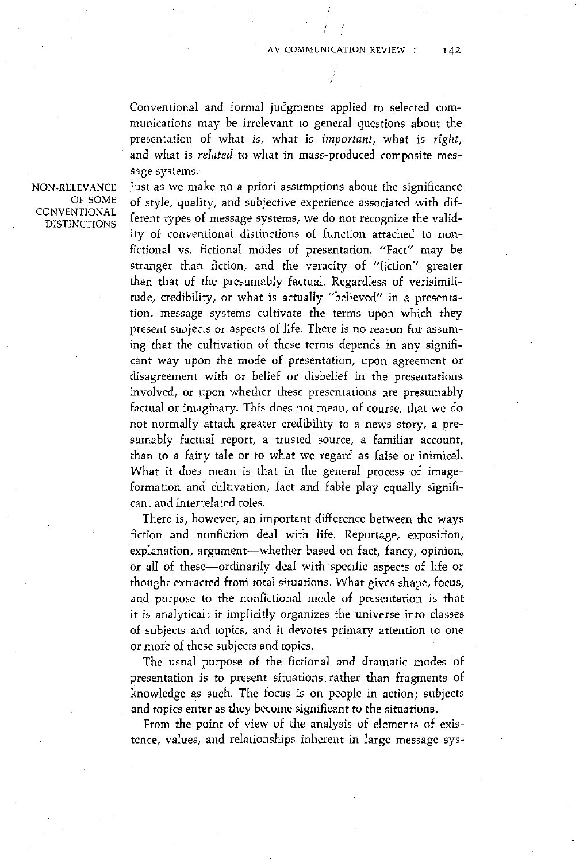Conventional and formal judgments applied to selected com**munications may be irrelevant to general questions about the presentation of what** *is,* **what is** *important,* **what is** *right,*  **and what is** *related* **to what in mass-produced composite message systems.** 

NON·RELEVANCE OF SOME CONVENTIONAL DISTINCTIONS

**Just as we make no a priori assumptions about the significance**  of style, quality, and subjective experience associated with dif**ferent types of message systems, we do not recognize the validity of conventional distinctions of function attached to non**fictional vs. fictional modes of presentation. "Fact" may be **stranger than fiction, and the veracity of "fiction" greater**  than that of the presumably factual. Regardless of verisimili**tude, credibility, or what is actually "believed" in a presentation, message systems cultivate the terms upon which they present subjects or aspects of life. There is no reason for assum**ing that the cultivation of these terms depends in any signifi**cant way upon the mode of presentation, upon agreement or**  disagreement with or belief or disbelief in the presentations **involved, or upon whether these presentations are presumably factual or imaginary. This does not mean, of course, that we do**  not normally attach greater credibility to a news story, a pre**sumably factual report, a trusted source, a familiar account,**  than to a fairy tale or to what we regard as false or inimical. What it does mean is that in the general process of imageformation and cultivation, fact and fable play equally signifi**cant and interrelated roles.** 

**There is, however, an important difference between the ways**  fiction and nonfiction deal with life. Reportage, exposition, **'explanation,** argument~whether **based on fact, fancy, opinion,**  or all of these-ordinarily deal with specific aspects of life or thought extracted from total situations. What gives shape, focus, and purpose to the nonfictional mode of presentation is that **it is analytical; it implicitly organizes the universe into classes of subjects and topics, and it devotes primary attention to one**  or more of these subjects and topics.

The usual purpose of the fictional and dramatic modes of **presentation is to present situations rather than fragments of**  knowledge as such. The focus is on people in action; subjects **and topics enter as they become Significant to the situations.** 

From the point of view of the analysis of elements of exis**tence, values, and relationships inherent in large message sys-**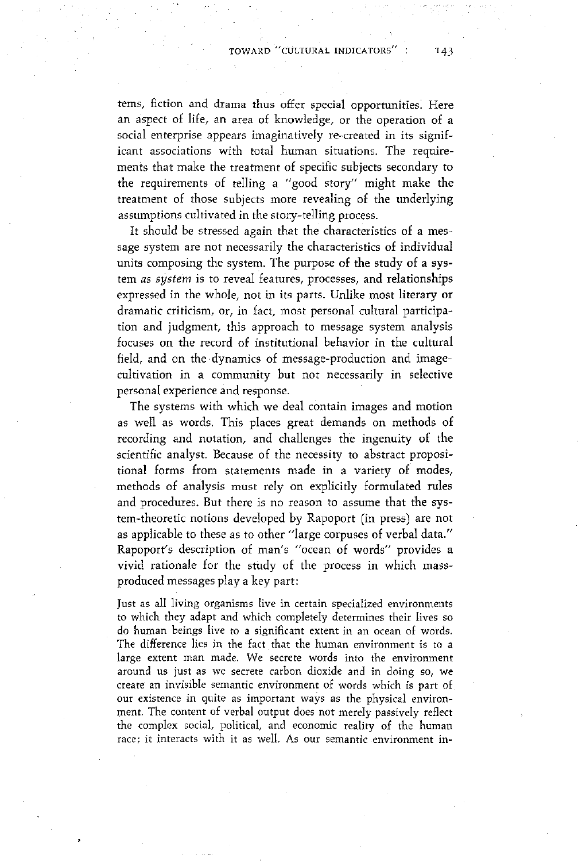tems, fiction and drama thus offer special opportunities. Here an aspect of life, an area of knowledge, or the operation of a social enterprise appears imaginatively re-created in its significant associations with total human situations. The requirements that make the treatment of specific subjects secondary to the requirements of telling a "good story" might make the treatment of those subjects more revealing of the underlying assumptions cultivated in the story-telling process.

It should be stressed again that the characteristics of a message system are not necessarily the characteristics of individual units composing the system. The purpose of the study of a system *as system* is to reveal features, processes, and relationships expressed in the whole, not in its parts. Unlike most literary or dramatic criticism, or, in fact, most personal cultural participation and judgment, this approach to message system analysis focuses on the record of institutional behavior in the cultural field, and on the dynamics of message-production and imagecultivation in a community but not necessarily in selective personal experience and response.

The systems with which we deal contain images and motion as well as words. This places great demands on methods of recording and notation, and challenges the ingenuity of the scientific analyst. Because of the necessity to abstract propositional forms from statements made in a variety of modes, methods of analysis must rely on explicitly formulated rules and procedures. But there is no reason to assume that the system-theoretic notions developed by Rapoport (in press) are not as applicable to these as to other "large corpuses of verbal data." Rapoport's description of man's "ocean of words" provides a vivid rationale for the study of the process in which massproduced messages playa key part:

Just as all living organisms live in certain specialized environments to which they adapt and which completely determines their lives so do human beings live to a significant extent in an ocean of words. The difference lies in the fact that the human environment is to a large extent man made. We secrete words into the environment around us just as we secrete carbon dioxide and in doing so, we create an invisible semantic environment of words which is part of our existence in quite as important ways as the physical environment. The content of verbal output does not merely passively reflect the complex social, political, and economic reality of the human race; it interacts with it as well. As our semantic environment in-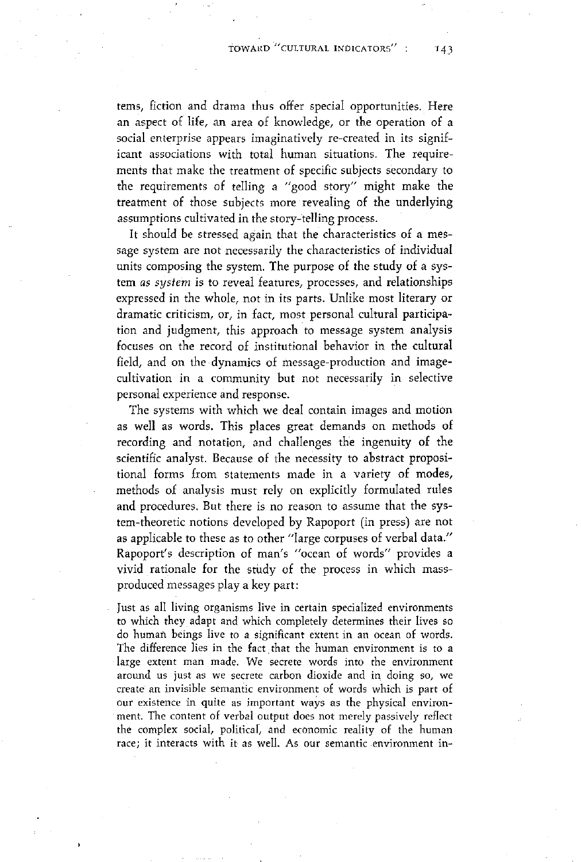tems, fiction and drama thus offer special opportunities. Here an aspect of life, an area of knowledge, or the operation of a **social enterprise appears imaginatively re-created in its significant associations with total human situations. The requirements that make the treatment of specific subjects secondary to**  the requirements of telling a "good story" might make the treatment of those subjects more revealing of the underlying assumptions cultivated in the story-telling process.

It should be stressed again that the characteristics of a mes**sage system are not necessarily the characteristics of individual**  units composing the system. The purpose of the study of a sys**tem** *as system* **is to reveal features, processes, and relationships**  expressed in the whole, not in its parts. Unlike most literary or **dramatic criticism, or, in fact, most personal cultural participa**tion and judgment, this approach to message system analysis focuses on the record of institutional behavior in the cultural field, and on the dynamics of message-production and image**cultivation in a community but not necessarily in selective personal experience and response.** 

**The systems with which we deal contain images and motion**  as well as words. This places great demands on methods of recording and notation, and challenges the ingenuity of the **scientific analyst. Because of the necessity to abstract propositional forms from statements made in a variety of modes,**  methods of analysis must rely on explicitly formulated rules **and procedures. But there is no reason to assume that the sys**tem-theoretic notions developed by Rapoport (in press) are not as applicable to these as to other "large corpuses of verbal data." **Rapoport's description of man's "ocean of words" provides a**  vivid rationale for the study of the process in which massproduced messages playa key part:

**Just as all living organisms live in certain specialized environments to which they adapt and which completely determines their lives so do human beings live to a significant extent in an ocean of words. The difference lies in the fact that the human environment is to a large extent man made. We secrete words into the environment around us just as we secrete carbon dioxide and in doing S0, we create' an invisible semantic environment of words which is part of our existence in quite as important ways as the physical environment. The content of verbal output does not merely passively reflect**  the complex social, political, and economic reality of the human **race; it interacts with it as well. As our semantic environment in-**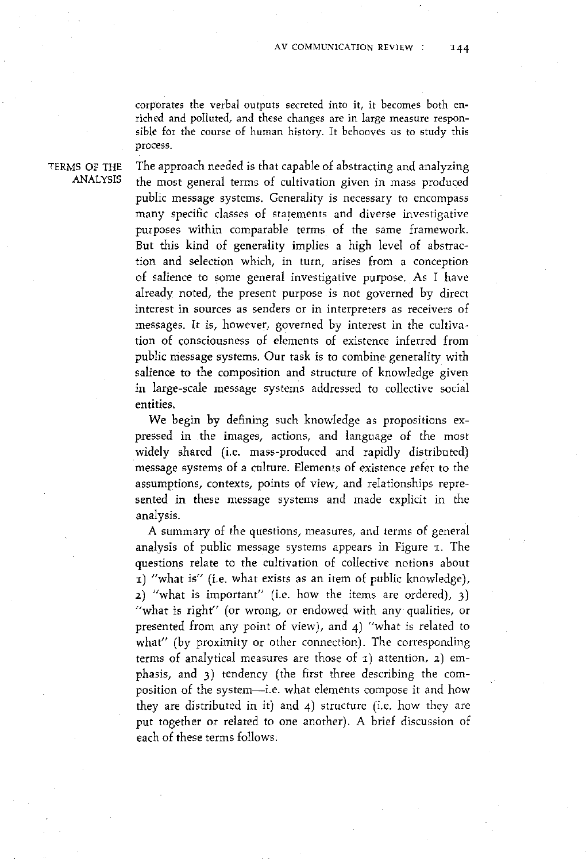**corporates the verbal outputs secreted into it, it becomes both enriched and polluted, and these changes are in large measure responsible for the course of human history. It behooves us to study this process.** 

TERMS OF THE The approach needed is that capable of abstracting and analyzing the most general terms of cultivation given in mass produced **public message systems. Generality is necessary to encompass**  many specific classes of statements and diverse investigative **purposes within comparable terms of the same framework.**  But this kind of generality implies a high level of abstrac**tion and selection which, in turn, arises from a conception of salience to some general investigative purpose. As I have**  already noted, the present purpose is not governed by direct **interest in sources as senders or in interpreters as receivers of messages. It is, however, governed by interest in the cultivation of consciousness of elements of existence inferred from**  public message systems. Our task is to combine generality with **salience to the composition and structure of knowledge given in large-scale message systems addressed to collective social entities.** 

> We begin by defining such knowledge as propositions ex**pressed in the images, actions, and language of the most**  widely shared (i.e. mass-produced and rapidly distributed) **message systems of a culture. Elements of existence refer to the assumptions, contexts, points of view, and relationships represented in these message systems and made explicit in the**  analysis.

> **A summary of the questions, measures, and terms of general**  analysis of public message systems appears in Figure 1. The **questions relate to the cultivation of collective notions about**  1) "what is" (i.e. what exists as an item of public knowledge), 2) "what is important" (i.e. how the items are ordered), 3) **"'what is right" (or wrong, or endowed with any qualities, or**  presented from any point of view), and 4) "what is related to what" (by proximity or other connection). The corresponding terms of analytical measures are those of 1) attention, 2) emphasis, and 3) tendency (the first three describing the com**position of the system-i.e. what elements compose it and how**  they are distributed in it) and 4) structure (i.e. how they are put together or related to one another). A brief discussion of each of these terms follows.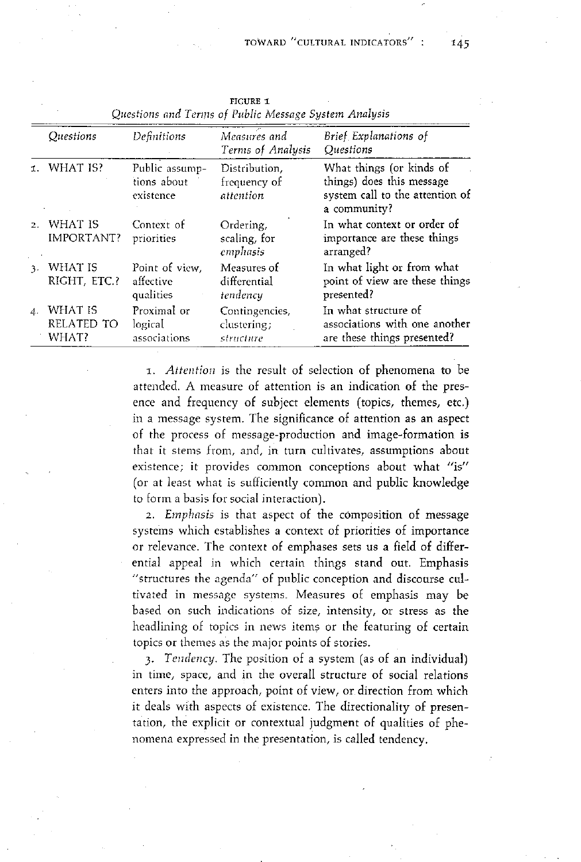#### TOWARD "CULTURAL INDICATORS" : 145

|            | Questions                       | Definitions                                | Measures and<br>Terms of Analysis          | Brief Explanations of<br>Ouestions                                                                       |
|------------|---------------------------------|--------------------------------------------|--------------------------------------------|----------------------------------------------------------------------------------------------------------|
|            | 1. WHAT IS?                     | Public assump-<br>tions about<br>existence | Distribution,<br>frequency of<br>attention | What things (or kinds of<br>things) does this message<br>system call to the attention of<br>a community? |
|            | 2. WHAT IS<br><b>IMPORTANT?</b> | Context of<br>priorities                   | Ordering,<br>scaling, for<br>emphasis      | In what context or order of<br>importance are these things<br>arranged?                                  |
| 3.         | WHAT IS<br>RIGHT, ETC.?         | Point of view,<br>affective<br>qualities   | Measures of<br>differential<br>tendency    | In what light or from what<br>point of view are these things<br>presented?                               |
| $\Delta$ . | WHAT IS<br>RELATED TO<br>WHAT?  | Proximal or<br>logical<br>associations     | Contingencies,<br>clustering;<br>structure | In what structure of<br>associations with one another<br>are these things presented?                     |

FIGURE 1. *<u>Questions and Terms of Public Message System Analysis</u>* 

*1. Attention* is the result of selection of phenomena to be attended. A measure of attention is an indication of the presence and frequency of subject elements (topics, themes, etc.) in a message system. The significance of attention as an aspect of the process of message-production and image-formation is that it stems from, and, in turn cultivates, assumptions about existence; it provides common conceptions about what "is" (or at least what is sufficiently common and public knowledge to form a basis for social interaction).

*2. Emphasis* is that aspect of the composition of message systems which establishes a context of priorities of importance or relevance. The context of emphases sets us a field of differential appeal in which certain things stand out. Emphasis "structures the agenda" of public conception and discourse cultivated in message systems. Measures of emphasis may be based on such indications of size, intensity, or stress as the headlining of topics in news items or the featuring of certain topics or themes as the major points of stories.

3. *Tendency*. The position of a system (as of an individual) in time, space, and in the overall structure of social relations enters into the approach, point of view, or direction from which it deals with aspects of existence. The directionality of presentation, the explicit or contextual judgment of qualities of phenomena expressed in the presentation, is called tendency.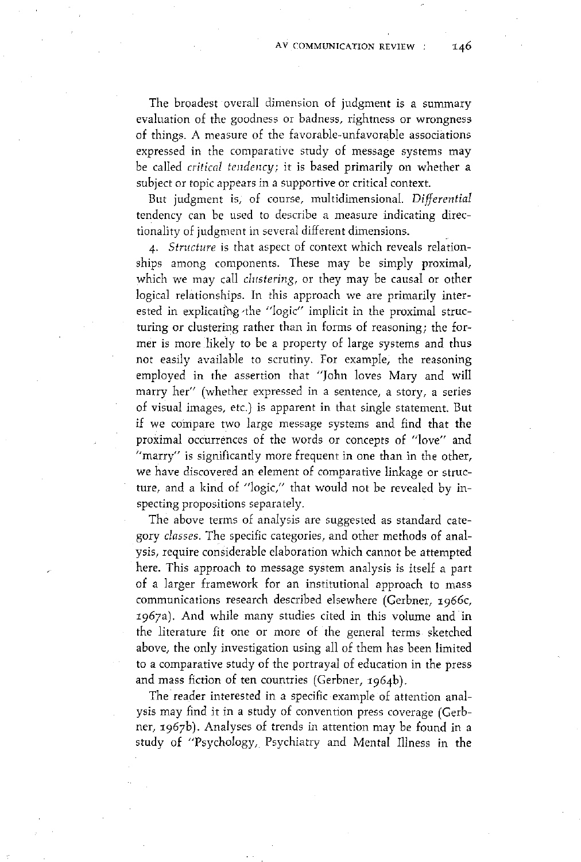**The broadest overall dimension of judgment is a summary evaluation of the goodness or badness, rightness or wrongness of things. A measure of the favorable-unfavorable associations expressed in the comparative study of message systems may**  be called *critical tendency*; it is based primarily on whether a **subject or topic appears in a supportive or critical context.** 

**But judgment is, of course, multidimensional.** *Differential*  **tendency can be used to describe a measure indicating directionality of judgment in several different dimensions.** 

*4. Structure* **is that aspect of context which reveals relation**ships among components. These may be simply proximal, which we may call *clustering*, or they may be causal or other logical relationships. In this approach we are primarily interested in explicating the "logic" implicit in the proximal struc**turing or clustering rather than in forms of reasoning; the for**mer is more likely to be a property of large systems and thus **not easily available to scrutiny. For example, the reasoning**  employed in the assertion that "John loves Mary and will **marry her" (whether expressed in a sentence, a story, a series of visual images, etc.) is apparent in that single statement. But**  if we compare two large message systems and find that the **proximal occurrences of the words or concepts of "love" and "marry" is significantly more frequent in one than in the other,**  we have discovered an element of comparative linkage or structure, and a kind of "logic," that would not be revealed by in**specting propositions separa tely.** 

The above terms of analysis are suggested as standard category *classes.* The specific categories, and other methods of anal**ysis, require considerable elaboration which cannot be attempted**  here. This approach to message system analysis is itself a part **of a larger framework for an institutional approach to mass communications research described elsewhere (Gerbner, :1966c,**  1967a). And while many studies cited in this volume and in **the literature fit one or more of the general terms sketched**  above, the only investigation using all of them has been limited **to a comparative study of the portrayal of education in the press**  and mass fiction of ten countries (Gerbner, 1964b).

**The reader interested in a specific example of attention analysis may find it in a study of convention press coverage (Gerb**ner, 1967b). Analyses of trends in attention may be found in a study of "Psychology, Psychiatry and Mental Illness in the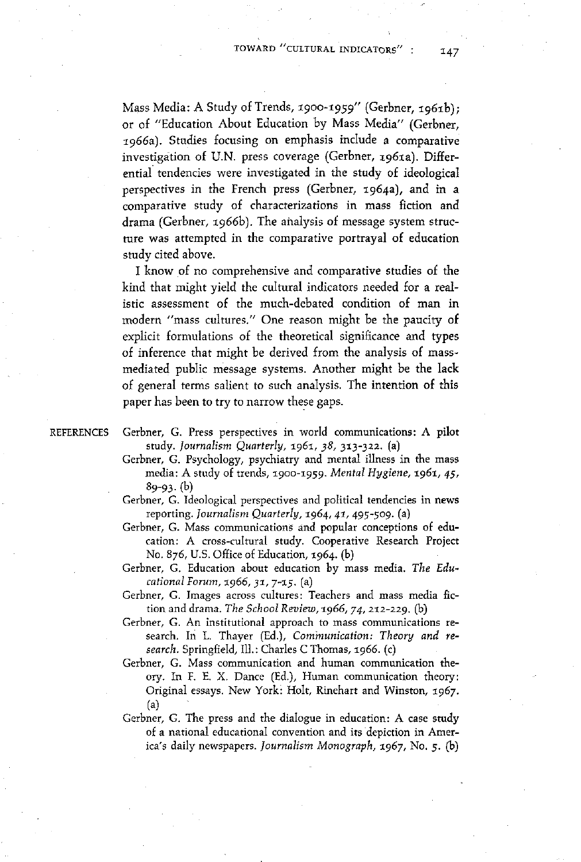Mass Media: A Study of Trends, 1900-1959" (Gerbner, 1961b); or of "Education About Education by Mass Media" (Gerbner, 1966a). Studies focusing on emphasis include a comparative investigation of U.N. press coverage (Gerbner, 19610). Differential tendencies were investigated in the study of ideological perspectives in the French press (Gerbner, 1964a), and in a **comparative study of characterizations in mass fiction and**  drama (Gerbner, 1966b). The analysis of message system structure was attempted in the comparative portrayal of education study cited above.

I know of no comprehensive and comparative studies of the kind that might yield the cultural indicators needed for a realistic assessment of the much-debated condition of man in **modern "mass cultures." One reason might be the paucity of**  explicit formulations of the theoretical significance and types of inference that might be derived from the analysis of massmediated public message systems. Another might be the lack of general terms salient to such analysis. The intention of this paper has been to try to narrow these gaps.

**REFERENCES Gerbner, G. Press perspectives in world communications: A pilot**  study. *Journalism Quarterly,* 1961, 38, 313-322. (al

- **Gerbner, G. Psychology, psychiatry and mental illness in the mass media: A study of trends, 1900-1959.** *Mental Hygiene,* **1.961, 45,**  89-93. (bl
- **Gerbner, G. Ideological perspectives and political tendencies in news**  reporting. *Journalism Quarterly,* 1964,41,495-509. (al
- **Gerbner, G. Mass communications and popular conceptions of education: A cross-cultural study. Cooperative Research Project**  No. 876, U.S. Office of Education,  $1964$ , (b)
- **Gerbner, G. Education about education by mass media.** *The* Edu~ *cational Forum,* 1966, *p,* 7-15. (al
- **Gerbner, G. Images across cultures: Teachers and mass media** fic~ **tion and drama.** *The School Review,* **1966, 74, 212-229. (b)**
- **Gerbner, G. An institutional approach to mass communications research. In 1. Thayer (Ed.),** *Communication: Theory and* re~ search. Springfield, Ill.: Charles C Thomas, 1966. (c)
- **Gerbner, G. Mass communication and human communication theory. In F. E. X. Dance (Ed.), Human communication theory: Original essays. New York: Holt, Rinehart and Winston, 1:967.**  (al
- **Gerbner, G. The press and the dialogue in education: A case study of a national educational convention and its depiction in Amer**ica's daily newspapers. *Journalism Monograph*, **1967**, No. 5. (b)